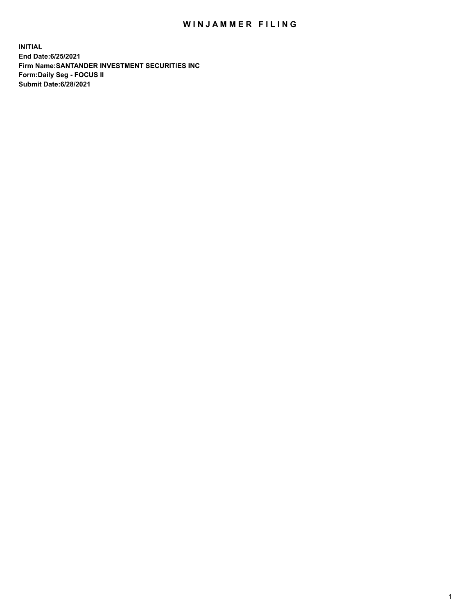## WIN JAMMER FILING

**INITIAL End Date:6/25/2021 Firm Name:SANTANDER INVESTMENT SECURITIES INC Form:Daily Seg - FOCUS II Submit Date:6/28/2021**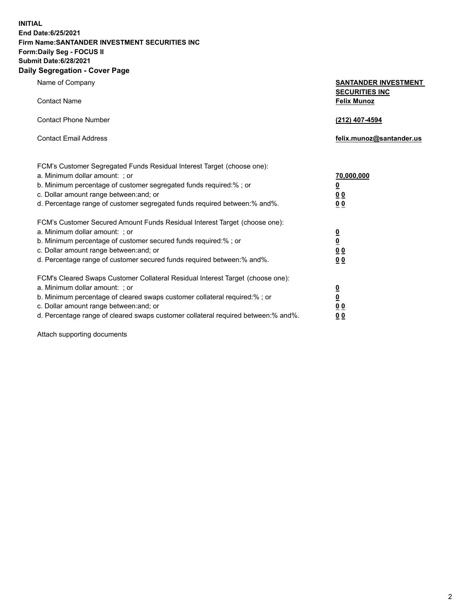**INITIAL End Date:6/25/2021 Firm Name:SANTANDER INVESTMENT SECURITIES INC Form:Daily Seg - FOCUS II Submit Date:6/28/2021 Daily Segregation - Cover Page**

| 0.91                                                                                                                                                                                                                                                                                                                           |                                                                                                          |
|--------------------------------------------------------------------------------------------------------------------------------------------------------------------------------------------------------------------------------------------------------------------------------------------------------------------------------|----------------------------------------------------------------------------------------------------------|
| Name of Company                                                                                                                                                                                                                                                                                                                | <b>SANTANDER INVESTMENT</b><br><b>SECURITIES INC</b>                                                     |
| <b>Contact Name</b>                                                                                                                                                                                                                                                                                                            | <b>Felix Munoz</b>                                                                                       |
| <b>Contact Phone Number</b>                                                                                                                                                                                                                                                                                                    | (212) 407-4594                                                                                           |
| <b>Contact Email Address</b>                                                                                                                                                                                                                                                                                                   | felix.munoz@santander.us                                                                                 |
| FCM's Customer Segregated Funds Residual Interest Target (choose one):<br>a. Minimum dollar amount: ; or<br>b. Minimum percentage of customer segregated funds required:% ; or<br>c. Dollar amount range between: and; or<br>d. Percentage range of customer segregated funds required between: % and %.                       | 70,000,000<br>$\underline{\mathbf{0}}$<br>0 <sub>0</sub><br>0 <sub>0</sub>                               |
| FCM's Customer Secured Amount Funds Residual Interest Target (choose one):<br>a. Minimum dollar amount: ; or<br>b. Minimum percentage of customer secured funds required:%; or<br>c. Dollar amount range between: and; or<br>d. Percentage range of customer secured funds required between:% and%.                            | $\frac{0}{0}$<br>0 <sub>0</sub><br>0 <sub>0</sub>                                                        |
| FCM's Cleared Swaps Customer Collateral Residual Interest Target (choose one):<br>a. Minimum dollar amount: ; or<br>b. Minimum percentage of cleared swaps customer collateral required:% ; or<br>c. Dollar amount range between: and; or<br>d. Percentage range of cleared swaps customer collateral required between:% and%. | $\overline{\mathbf{0}}$<br>$\underline{\mathbf{0}}$<br>$\underline{0}$ $\underline{0}$<br>0 <sub>0</sub> |

Attach supporting documents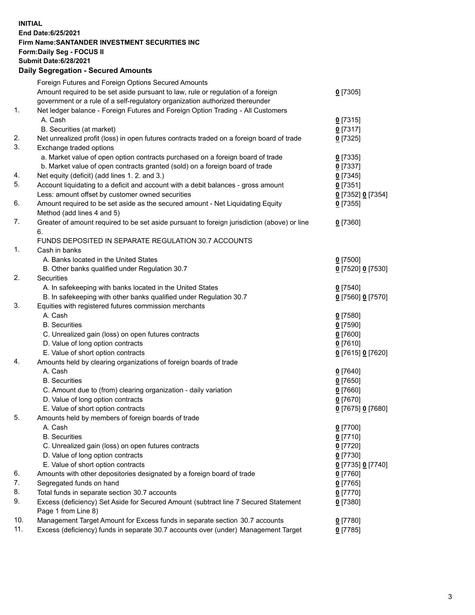**INITIAL End Date:6/25/2021 Firm Name:SANTANDER INVESTMENT SECURITIES INC Form:Daily Seg - FOCUS II Submit Date:6/28/2021 Daily Segregation - Secured Amounts**

|     | Foreign Futures and Foreign Options Secured Amounts                                         |                   |
|-----|---------------------------------------------------------------------------------------------|-------------------|
|     | Amount required to be set aside pursuant to law, rule or regulation of a foreign            | $0$ [7305]        |
|     | government or a rule of a self-regulatory organization authorized thereunder                |                   |
| 1.  | Net ledger balance - Foreign Futures and Foreign Option Trading - All Customers             |                   |
|     | A. Cash                                                                                     | $0$ [7315]        |
|     | B. Securities (at market)                                                                   | 0[7317]           |
| 2.  | Net unrealized profit (loss) in open futures contracts traded on a foreign board of trade   | $0$ [7325]        |
| 3.  | Exchange traded options                                                                     |                   |
|     | a. Market value of open option contracts purchased on a foreign board of trade              | $0$ [7335]        |
|     | b. Market value of open contracts granted (sold) on a foreign board of trade                | $0$ [7337]        |
| 4.  | Net equity (deficit) (add lines 1. 2. and 3.)                                               | $0$ [7345]        |
| 5.  | Account liquidating to a deficit and account with a debit balances - gross amount           | $0$ [7351]        |
|     | Less: amount offset by customer owned securities                                            | 0 [7352] 0 [7354] |
| 6.  | Amount required to be set aside as the secured amount - Net Liquidating Equity              | $0$ [7355]        |
|     | Method (add lines 4 and 5)                                                                  |                   |
| 7.  | Greater of amount required to be set aside pursuant to foreign jurisdiction (above) or line | $0$ [7360]        |
|     | 6.                                                                                          |                   |
|     | FUNDS DEPOSITED IN SEPARATE REGULATION 30.7 ACCOUNTS                                        |                   |
| 1.  | Cash in banks                                                                               |                   |
|     | A. Banks located in the United States                                                       | $0$ [7500]        |
|     | B. Other banks qualified under Regulation 30.7                                              | 0 [7520] 0 [7530] |
| 2.  | Securities                                                                                  |                   |
|     | A. In safekeeping with banks located in the United States                                   | $0$ [7540]        |
|     | B. In safekeeping with other banks qualified under Regulation 30.7                          | 0 [7560] 0 [7570] |
| 3.  | Equities with registered futures commission merchants                                       |                   |
|     | A. Cash                                                                                     | $0$ [7580]        |
|     | <b>B.</b> Securities                                                                        | $0$ [7590]        |
|     | C. Unrealized gain (loss) on open futures contracts                                         | $0$ [7600]        |
|     | D. Value of long option contracts                                                           | $0$ [7610]        |
|     | E. Value of short option contracts                                                          | 0 [7615] 0 [7620] |
| 4.  | Amounts held by clearing organizations of foreign boards of trade                           |                   |
|     | A. Cash                                                                                     | $0$ [7640]        |
|     | <b>B.</b> Securities                                                                        | $0$ [7650]        |
|     | C. Amount due to (from) clearing organization - daily variation                             | $0$ [7660]        |
|     | D. Value of long option contracts                                                           | $0$ [7670]        |
|     | E. Value of short option contracts                                                          | 0 [7675] 0 [7680] |
| 5.  | Amounts held by members of foreign boards of trade                                          |                   |
|     | A. Cash                                                                                     | $0$ [7700]        |
|     | <b>B.</b> Securities                                                                        | $0$ [7710]        |
|     | C. Unrealized gain (loss) on open futures contracts                                         | $0$ [7720]        |
|     | D. Value of long option contracts                                                           | $0$ [7730]        |
|     | E. Value of short option contracts                                                          | 0 [7735] 0 [7740] |
| 6.  | Amounts with other depositories designated by a foreign board of trade                      | $0$ [7760]        |
| 7.  | Segregated funds on hand                                                                    | $0$ [7765]        |
| 8.  | Total funds in separate section 30.7 accounts                                               | $0$ [7770]        |
| 9.  | Excess (deficiency) Set Aside for Secured Amount (subtract line 7 Secured Statement         | 0 [7380]          |
|     | Page 1 from Line 8)                                                                         |                   |
| 10. | Management Target Amount for Excess funds in separate section 30.7 accounts                 | $0$ [7780]        |
| 11. | Excess (deficiency) funds in separate 30.7 accounts over (under) Management Target          | $0$ [7785]        |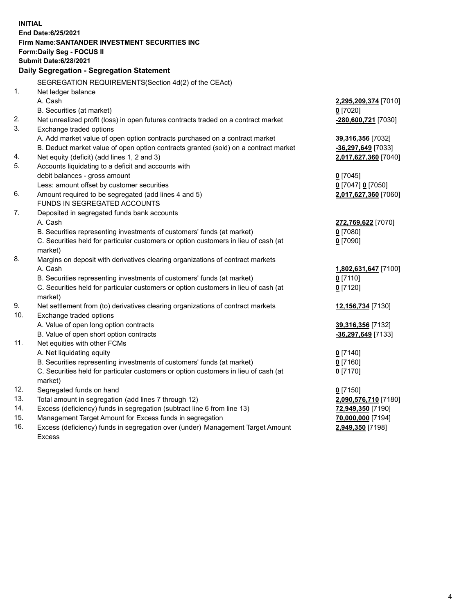| <b>INITIAL</b> |                                                                                                                                                               |                      |
|----------------|---------------------------------------------------------------------------------------------------------------------------------------------------------------|----------------------|
|                | End Date: 6/25/2021                                                                                                                                           |                      |
|                | Firm Name: SANTANDER INVESTMENT SECURITIES INC                                                                                                                |                      |
|                | Form: Daily Seg - FOCUS II                                                                                                                                    |                      |
|                | <b>Submit Date:6/28/2021</b>                                                                                                                                  |                      |
|                | Daily Segregation - Segregation Statement                                                                                                                     |                      |
|                | SEGREGATION REQUIREMENTS(Section 4d(2) of the CEAct)                                                                                                          |                      |
| 1.             | Net ledger balance                                                                                                                                            |                      |
|                | A. Cash                                                                                                                                                       | 2,295,209,374 [7010] |
|                | B. Securities (at market)                                                                                                                                     | $0$ [7020]           |
| 2.             | Net unrealized profit (loss) in open futures contracts traded on a contract market                                                                            | -280,600,721 [7030]  |
| 3.             | Exchange traded options                                                                                                                                       |                      |
|                | A. Add market value of open option contracts purchased on a contract market                                                                                   | 39,316,356 [7032]    |
|                | B. Deduct market value of open option contracts granted (sold) on a contract market                                                                           | -36,297,649 [7033]   |
| 4.             | Net equity (deficit) (add lines 1, 2 and 3)                                                                                                                   | 2,017,627,360 [7040] |
| 5.             | Accounts liquidating to a deficit and accounts with                                                                                                           |                      |
|                | debit balances - gross amount                                                                                                                                 | $0$ [7045]           |
|                | Less: amount offset by customer securities                                                                                                                    | 0 [7047] 0 [7050]    |
| 6.             | Amount required to be segregated (add lines 4 and 5)                                                                                                          | 2,017,627,360 [7060] |
|                | FUNDS IN SEGREGATED ACCOUNTS                                                                                                                                  |                      |
| 7.             | Deposited in segregated funds bank accounts                                                                                                                   |                      |
|                | A. Cash                                                                                                                                                       | 272,769,622 [7070]   |
|                | B. Securities representing investments of customers' funds (at market)                                                                                        | $0$ [7080]           |
|                | C. Securities held for particular customers or option customers in lieu of cash (at                                                                           | $0$ [7090]           |
|                | market)                                                                                                                                                       |                      |
| 8.             | Margins on deposit with derivatives clearing organizations of contract markets                                                                                |                      |
|                | A. Cash                                                                                                                                                       | 1,802,631,647 [7100] |
|                | B. Securities representing investments of customers' funds (at market)<br>C. Securities held for particular customers or option customers in lieu of cash (at | $0$ [7110]           |
|                | market)                                                                                                                                                       | $0$ [7120]           |
| 9.             | Net settlement from (to) derivatives clearing organizations of contract markets                                                                               | 12,156,734 [7130]    |
| 10.            | Exchange traded options                                                                                                                                       |                      |
|                | A. Value of open long option contracts                                                                                                                        | 39,316,356 [7132]    |
|                | B. Value of open short option contracts                                                                                                                       | -36,297,649 [7133]   |
| 11.            | Net equities with other FCMs                                                                                                                                  |                      |
|                | A. Net liquidating equity                                                                                                                                     | $0$ [7140]           |
|                | B. Securities representing investments of customers' funds (at market)                                                                                        | $0$ [7160]           |
|                | C. Securities held for particular customers or option customers in lieu of cash (at                                                                           | $0$ [7170]           |
|                | market)                                                                                                                                                       |                      |
| 12.            | Segregated funds on hand                                                                                                                                      | $0$ [7150]           |
| 13.            | Total amount in segregation (add lines 7 through 12)                                                                                                          | 2,090,576,710 [7180] |
| 14.            | Excess (deficiency) funds in segregation (subtract line 6 from line 13)                                                                                       | 72,949,350 [7190]    |
| 15.            | Management Target Amount for Excess funds in segregation                                                                                                      | 70,000,000 [7194]    |
| 16.            | Excess (deficiency) funds in segregation over (under) Management Target Amount                                                                                | 2,949,350 [7198]     |
|                | <b>Excess</b>                                                                                                                                                 |                      |